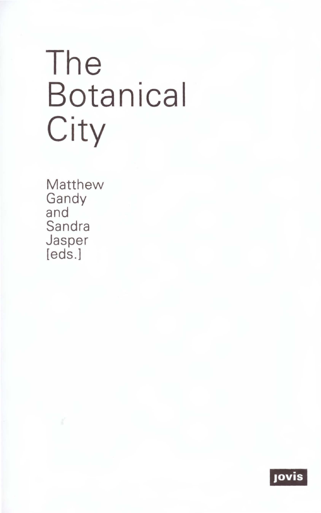# The **Botanical** City

Matthew Gandy<br>and Sandra Jasper [eds.]

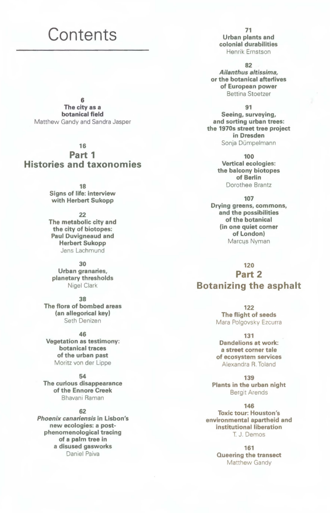# **Contents**

6 The city as a botanical field Matthew Gandy and Sandra Jasper

#### 16

# **Part 1 Histories and taxonomies**

18 Signs of life: interview with Herbert Sukopp

22 The metabolic city and the city of biotopes: Paul Duvigneaud and Herbert Sukopp Jens Lachmund

30 Urban granaries, planetary thresholds Nigel Clark

38 The flora of bombed areas (an allegorical key) Seth Denizen

46 Vegetation as testimony: botanical traces of the urban past Moritz von der Lippe

54 The curious disappearance of the Ennore Creek Bhavani Raman

## 62

*Phoenix canariensis* in Lisbon's new ecologies: a postphenomenological tracing of a palm tree in a disused gasworks Daniel Paiva

71 Urban plants and colonial durabilities Henrik Ernstson

82

*Ailanthus altissima,* or the botanical afterlives of European power Bettina Stoetzer

#### 91

Seeing, surveying, and sorting urban trees: the 1970s street tree project in Dresden Sonja Dümpelmann

> 100 Vertical ecologies: the balcony biotopes of Berlin Dorothee Brantz

> > 107

Drying greens, commons, and the possibilities of the botanical (in one quiet comer of London) Marcus Nyman

120 **Part 2 Botanizing the asphalt** 

> 122 The flight of seeds Mara Polgovsky Ezcurra

> 131 Dandelions at work: a street corner tale of ecosystem services Alexandra R. Toland

139 Plants in the urban night Bergit Arends

146 Toxic tour: Houston's environmental apartheid and institutional liberation T. J. Demos

> 161 Queering the transect Matthew Gandy